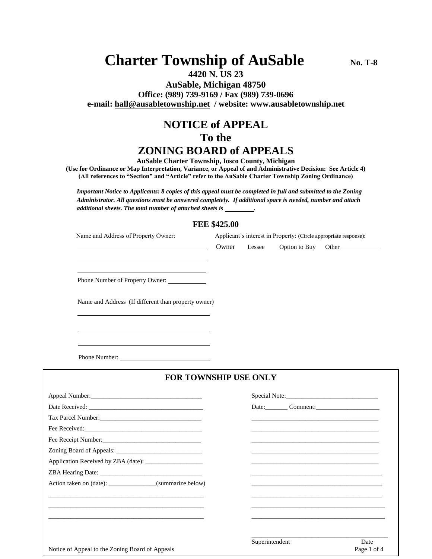# **Charter Township of AuSable**  $N_0$ . T-8

### **4420 N. US 23 AuSable, Michigan 48750 Office: (989) 739-9169 / Fax (989) 739-0696 e-mail: [hall@ausabletownship.net](mailto:hall@ausabletownship.net) / website: www.ausabletownship.net**

## **NOTICE of APPEAL To the ZONING BOARD of APPEALS**

**AuSable Charter Township, Iosco County, Michigan**

**(Use for Ordinance or Map Interpretation, Variance, or Appeal of and Administrative Decision: See Article 4) (All references to "Section" and "Article" refer to the AuSable Charter Township Zoning Ordinance)**

*Important Notice to Applicants: 8 copies of this appeal must be completed in full and submitted to the Zoning Administrator. All questions must be answered completely. If additional space is needed, number and attach additional sheets. The total number of attached sheets is* 

#### **FEE \$425.00**

| Name and Address of Property Owner:                       | Applicant's interest in Property: (Circle appropriate response): |                |               |                                                                                                                      |
|-----------------------------------------------------------|------------------------------------------------------------------|----------------|---------------|----------------------------------------------------------------------------------------------------------------------|
|                                                           | Owner                                                            | Lessee         | Option to Buy | Other                                                                                                                |
|                                                           |                                                                  |                |               |                                                                                                                      |
| Phone Number of Property Owner: _____________             |                                                                  |                |               |                                                                                                                      |
| Name and Address (If different than property owner)       |                                                                  |                |               |                                                                                                                      |
|                                                           |                                                                  |                |               |                                                                                                                      |
|                                                           |                                                                  |                |               |                                                                                                                      |
| FOR TOWNSHIP USE ONLY                                     |                                                                  |                |               |                                                                                                                      |
|                                                           |                                                                  |                |               |                                                                                                                      |
|                                                           |                                                                  |                |               | Date: Comment: Comment:                                                                                              |
|                                                           |                                                                  |                |               |                                                                                                                      |
|                                                           |                                                                  |                |               |                                                                                                                      |
|                                                           |                                                                  |                |               |                                                                                                                      |
|                                                           |                                                                  |                |               | <u> 1980 - Jan James James James James James James James James James James James James James James James James J</u> |
|                                                           |                                                                  |                |               |                                                                                                                      |
|                                                           |                                                                  |                |               |                                                                                                                      |
| Action taken on (date): ________________(summarize below) |                                                                  |                |               |                                                                                                                      |
|                                                           |                                                                  |                |               |                                                                                                                      |
|                                                           |                                                                  |                |               |                                                                                                                      |
|                                                           |                                                                  |                |               |                                                                                                                      |
|                                                           |                                                                  |                |               |                                                                                                                      |
| Notice of Appeal to the Zoning Board of Appeals           |                                                                  | Superintendent |               | Date<br>Page 1 of 4                                                                                                  |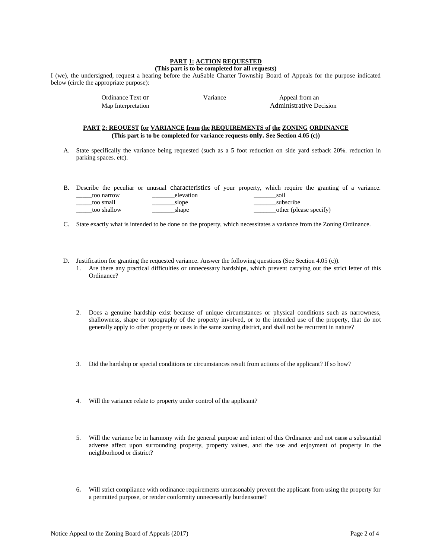#### **PART 1: ACTION REQUESTED**

#### **(This part is to be completed for all requests)**

I (we), the undersigned, request a hearing before the AuSable Charter Township Board of Appeals for the purpose indicated below (circle the appropriate purpose):

> Ordinance Text or Variance Variance Appeal from an Map Interpretation and a metal and a metal and a metal Administrative Decision

#### **PART 2: REOUEST for VARIANCE from the REQUIREMENTS of the ZONING ORDINANCE (This part is to be completed for variance requests only. See Section 4.05 (c))**

A. State specifically the variance being requested (such as a 5 foot reduction on side yard setback 20%. reduction in parking spaces. etc).

B. Describe the peculiar or unusual characteristics of your property, which require the granting of a variance. **\_\_\_\_\_**too narrow \_\_\_\_\_\_\_elevation \_\_\_\_\_\_\_soil \_\_\_\_\_too small \_\_\_\_\_\_\_slope \_\_\_\_\_\_\_subscribe \_\_\_\_\_too shallow \_\_\_\_\_\_\_shape \_\_\_\_\_\_\_other (please specify)

- C. State exactly what is intended to be done on the property, which necessitates a variance from the Zoning Ordinance.
- D. Justification for granting the requested variance. Answer the following questions (See Section 4.05 (c)).
	- 1. Are there any practical difficulties or unnecessary hardships, which prevent carrying out the strict letter of this Ordinance?
	- 2. Does a genuine hardship exist because of unique circumstances or physical conditions such as narrowness, shallowness, shape or topography of the property involved, or to the intended use of the property, that do not generally apply to other property or uses in the same zoning district, and shall not be recurrent in nature?
	- 3. Did the hardship or special conditions or circumstances result from actions of the applicant? If so how?
	- 4. Will the variance relate to property under control of the applicant?
	- 5. Will the variance be in harmony with the general purpose and intent of this Ordinance and not cause a substantial adverse affect upon surrounding property, property values, and the use and enjoyment of property in the neighborhood or district?
	- 6**.** Will strict compliance with ordinance requirements unreasonably prevent the applicant from using the property for a permitted purpose, or render conformity unnecessarily burdensome?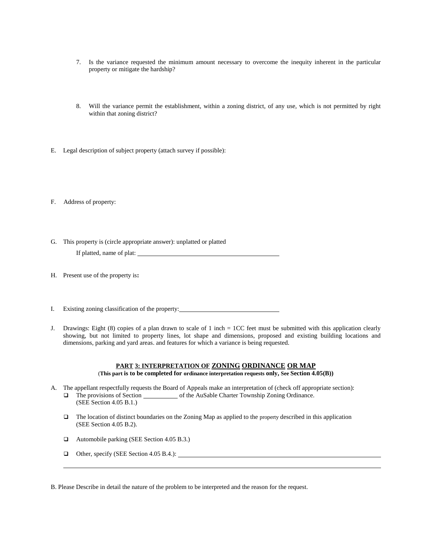- 7. Is the variance requested the minimum amount necessary to overcome the inequity inherent in the particular property or mitigate the hardship?
- 8. Will the variance permit the establishment, within a zoning district, of any use, which is not permitted by right within that zoning district?
- E. Legal description of subject property (attach survey if possible):

F. Address of property:

- G. This property is (circle appropriate answer): unplatted or platted If platted, name of plat:
- H. Present use of the property is**:**
- I. Existing zoning classification of the property:
- J. Drawings: Eight (8) copies of a plan drawn to scale of 1 inch = 1CC feet must be submitted with this application clearly showing, but not limited to property lines, lot shape and dimensions, proposed and existing building locations and dimensions, parking and yard areas. and features for which a variance is being requested.

#### **PART 3: INTERPRETATION OF ZONING ORDINANCE OR MAP** (**This part is to be completed for ordinance interpretation requests only, See Section 4.05(B))**

- A. The appellant respectfully requests the Board of Appeals make an interpretation of (check off appropriate section):  $\Box$  The provisions of Section of the AuSable Charter Township Zoning Ordinance. (SEE Section 4.05 B.1.)
	- $\Box$  The location of distinct boundaries on the Zoning Map as applied to the property described in this application (SEE Section 4.05 B.2).
	- Automobile parking (SEE Section 4.05 B.3.)
	- Other, specify (SEE Section 4.05 B.4.):

B. Please Describe in detail the nature of the problem to be interpreted and the reason for the request.